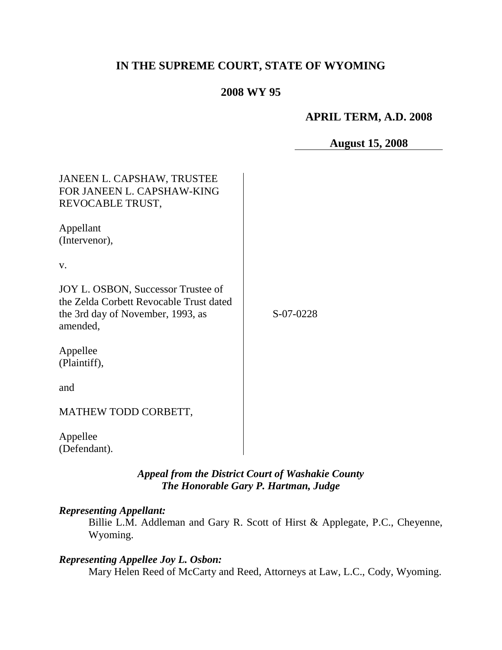# **IN THE SUPREME COURT, STATE OF WYOMING**

## **2008 WY 95**

### **APRIL TERM, A.D. 2008**

#### **August 15, 2008**

| JANEEN L. CAPSHAW, TRUSTEE<br>FOR JANEEN L. CAPSHAW-KING<br>REVOCABLE TRUST,                                                   |           |
|--------------------------------------------------------------------------------------------------------------------------------|-----------|
| Appellant<br>(Intervenor),                                                                                                     |           |
| V.                                                                                                                             |           |
| JOY L. OSBON, Successor Trustee of<br>the Zelda Corbett Revocable Trust dated<br>the 3rd day of November, 1993, as<br>amended, | S-07-0228 |
| Appellee<br>(Plaintiff),                                                                                                       |           |
| and                                                                                                                            |           |
| MATHEW TODD CORBETT,                                                                                                           |           |
| Appellee<br>(Defendant).                                                                                                       |           |

*Appeal from the District Court of Washakie County The Honorable Gary P. Hartman, Judge*

#### *Representing Appellant:*

Billie L.M. Addleman and Gary R. Scott of Hirst & Applegate, P.C., Cheyenne, Wyoming.

# *Representing Appellee Joy L. Osbon:*

Mary Helen Reed of McCarty and Reed, Attorneys at Law, L.C., Cody, Wyoming.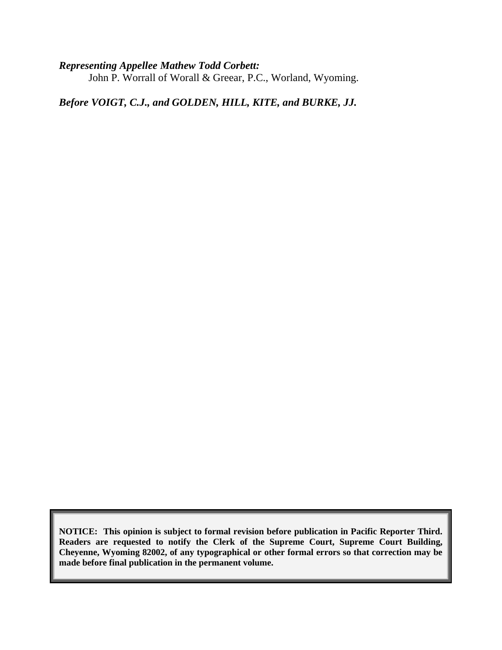*Representing Appellee Mathew Todd Corbett:* John P. Worrall of Worall & Greear, P.C., Worland, Wyoming.

*Before VOIGT, C.J., and GOLDEN, HILL, KITE, and BURKE, JJ.*

**NOTICE: This opinion is subject to formal revision before publication in Pacific Reporter Third. Readers are requested to notify the Clerk of the Supreme Court, Supreme Court Building, Cheyenne, Wyoming 82002, of any typographical or other formal errors so that correction may be made before final publication in the permanent volume.**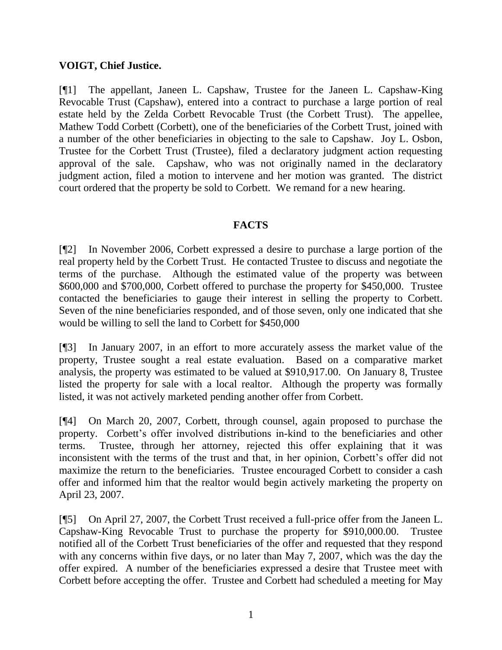### **VOIGT, Chief Justice.**

[¶1] The appellant, Janeen L. Capshaw, Trustee for the Janeen L. Capshaw-King Revocable Trust (Capshaw), entered into a contract to purchase a large portion of real estate held by the Zelda Corbett Revocable Trust (the Corbett Trust). The appellee, Mathew Todd Corbett (Corbett), one of the beneficiaries of the Corbett Trust, joined with a number of the other beneficiaries in objecting to the sale to Capshaw. Joy L. Osbon, Trustee for the Corbett Trust (Trustee), filed a declaratory judgment action requesting approval of the sale. Capshaw, who was not originally named in the declaratory judgment action, filed a motion to intervene and her motion was granted. The district court ordered that the property be sold to Corbett. We remand for a new hearing.

### **FACTS**

[¶2] In November 2006, Corbett expressed a desire to purchase a large portion of the real property held by the Corbett Trust. He contacted Trustee to discuss and negotiate the terms of the purchase. Although the estimated value of the property was between \$600,000 and \$700,000, Corbett offered to purchase the property for \$450,000. Trustee contacted the beneficiaries to gauge their interest in selling the property to Corbett. Seven of the nine beneficiaries responded, and of those seven, only one indicated that she would be willing to sell the land to Corbett for \$450,000

[¶3] In January 2007, in an effort to more accurately assess the market value of the property, Trustee sought a real estate evaluation. Based on a comparative market analysis, the property was estimated to be valued at \$910,917.00. On January 8, Trustee listed the property for sale with a local realtor. Although the property was formally listed, it was not actively marketed pending another offer from Corbett.

[¶4] On March 20, 2007, Corbett, through counsel, again proposed to purchase the property. Corbett's offer involved distributions in-kind to the beneficiaries and other terms. Trustee, through her attorney, rejected this offer explaining that it was inconsistent with the terms of the trust and that, in her opinion, Corbett's offer did not maximize the return to the beneficiaries. Trustee encouraged Corbett to consider a cash offer and informed him that the realtor would begin actively marketing the property on April 23, 2007.

[¶5] On April 27, 2007, the Corbett Trust received a full-price offer from the Janeen L. Capshaw-King Revocable Trust to purchase the property for \$910,000.00. Trustee notified all of the Corbett Trust beneficiaries of the offer and requested that they respond with any concerns within five days, or no later than May 7, 2007, which was the day the offer expired. A number of the beneficiaries expressed a desire that Trustee meet with Corbett before accepting the offer. Trustee and Corbett had scheduled a meeting for May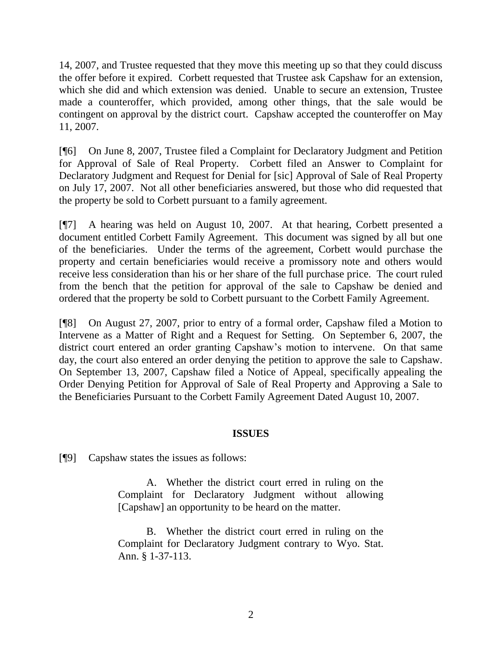14, 2007, and Trustee requested that they move this meeting up so that they could discuss the offer before it expired. Corbett requested that Trustee ask Capshaw for an extension, which she did and which extension was denied. Unable to secure an extension, Trustee made a counteroffer, which provided, among other things, that the sale would be contingent on approval by the district court. Capshaw accepted the counteroffer on May 11, 2007.

[¶6] On June 8, 2007, Trustee filed a Complaint for Declaratory Judgment and Petition for Approval of Sale of Real Property. Corbett filed an Answer to Complaint for Declaratory Judgment and Request for Denial for [sic] Approval of Sale of Real Property on July 17, 2007. Not all other beneficiaries answered, but those who did requested that the property be sold to Corbett pursuant to a family agreement.

[¶7] A hearing was held on August 10, 2007. At that hearing, Corbett presented a document entitled Corbett Family Agreement. This document was signed by all but one of the beneficiaries. Under the terms of the agreement, Corbett would purchase the property and certain beneficiaries would receive a promissory note and others would receive less consideration than his or her share of the full purchase price. The court ruled from the bench that the petition for approval of the sale to Capshaw be denied and ordered that the property be sold to Corbett pursuant to the Corbett Family Agreement.

[¶8] On August 27, 2007, prior to entry of a formal order, Capshaw filed a Motion to Intervene as a Matter of Right and a Request for Setting. On September 6, 2007, the district court entered an order granting Capshaw"s motion to intervene. On that same day, the court also entered an order denying the petition to approve the sale to Capshaw. On September 13, 2007, Capshaw filed a Notice of Appeal, specifically appealing the Order Denying Petition for Approval of Sale of Real Property and Approving a Sale to the Beneficiaries Pursuant to the Corbett Family Agreement Dated August 10, 2007.

#### **ISSUES**

[¶9] Capshaw states the issues as follows:

A. Whether the district court erred in ruling on the Complaint for Declaratory Judgment without allowing [Capshaw] an opportunity to be heard on the matter.

B. Whether the district court erred in ruling on the Complaint for Declaratory Judgment contrary to Wyo. Stat. Ann. § 1-37-113.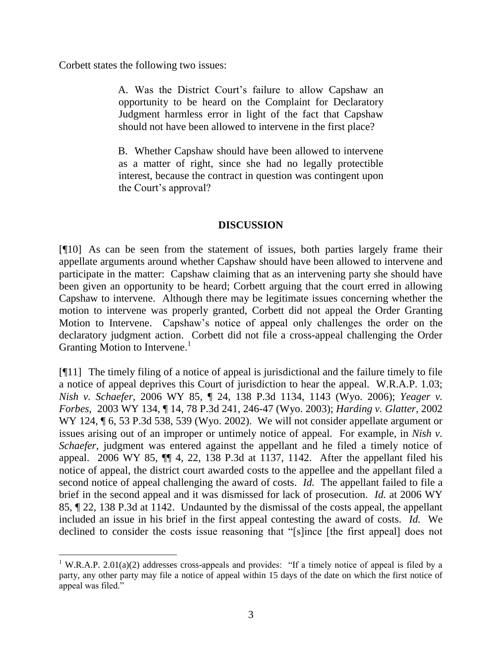Corbett states the following two issues:

A. Was the District Court"s failure to allow Capshaw an opportunity to be heard on the Complaint for Declaratory Judgment harmless error in light of the fact that Capshaw should not have been allowed to intervene in the first place?

B. Whether Capshaw should have been allowed to intervene as a matter of right, since she had no legally protectible interest, because the contract in question was contingent upon the Court"s approval?

## **DISCUSSION**

[¶10] As can be seen from the statement of issues, both parties largely frame their appellate arguments around whether Capshaw should have been allowed to intervene and participate in the matter: Capshaw claiming that as an intervening party she should have been given an opportunity to be heard; Corbett arguing that the court erred in allowing Capshaw to intervene. Although there may be legitimate issues concerning whether the motion to intervene was properly granted, Corbett did not appeal the Order Granting Motion to Intervene. Capshaw"s notice of appeal only challenges the order on the declaratory judgment action. Corbett did not file a cross-appeal challenging the Order Granting Motion to Intervene.<sup>1</sup>

[¶11] The timely filing of a notice of appeal is jurisdictional and the failure timely to file a notice of appeal deprives this Court of jurisdiction to hear the appeal. W.R.A.P. 1.03; *Nish v. Schaefer*, 2006 WY 85, ¶ 24, 138 P.3d 1134, 1143 (Wyo. 2006); *Yeager v. Forbes,* 2003 WY 134, ¶ 14, 78 P.3d 241, 246-47 (Wyo. 2003); *Harding v. Glatter*, 2002 WY 124,  $\P$  6, 53 P.3d 538, 539 (Wyo. 2002). We will not consider appellate argument or issues arising out of an improper or untimely notice of appeal. For example, in *Nish v. Schaefer*, judgment was entered against the appellant and he filed a timely notice of appeal. 2006 WY 85, ¶¶ 4, 22, 138 P.3d at 1137, 1142. After the appellant filed his notice of appeal, the district court awarded costs to the appellee and the appellant filed a second notice of appeal challenging the award of costs. *Id.* The appellant failed to file a brief in the second appeal and it was dismissed for lack of prosecution. *Id.* at 2006 WY 85, ¶ 22, 138 P.3d at 1142. Undaunted by the dismissal of the costs appeal, the appellant included an issue in his brief in the first appeal contesting the award of costs. *Id.* We declined to consider the costs issue reasoning that "[s]ince [the first appeal] does not

 <sup>1</sup> W.R.A.P. 2.01(a)(2) addresses cross-appeals and provides: "If a timely notice of appeal is filed by a party, any other party may file a notice of appeal within 15 days of the date on which the first notice of appeal was filed."